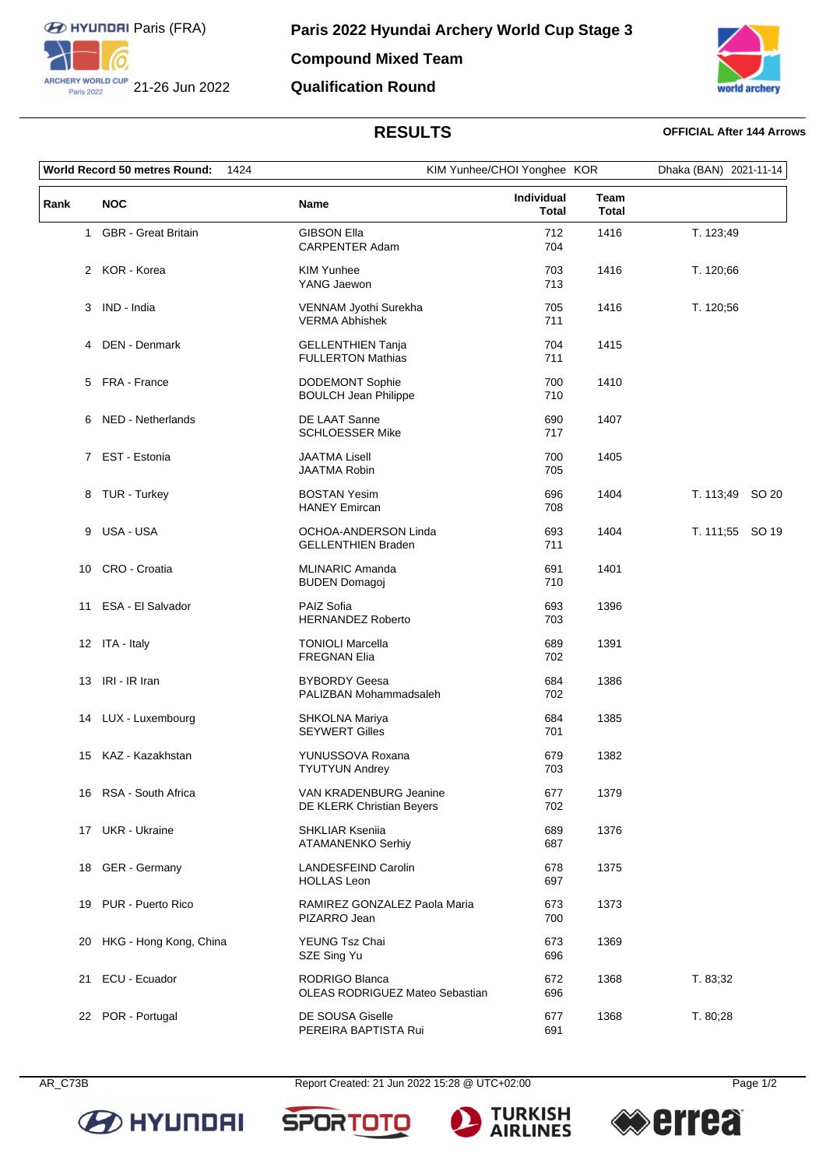



## **RESULTS OFFICIAL After 144 Arrows**

| World Record 50 metres Round:<br>1424 |                            |                                                          | KIM Yunhee/CHOI Yonghee KOR       |                      | Dhaka (BAN) 2021-11-14 |  |
|---------------------------------------|----------------------------|----------------------------------------------------------|-----------------------------------|----------------------|------------------------|--|
| Rank                                  | <b>NOC</b>                 | Name                                                     | <b>Individual</b><br><b>Total</b> | Team<br><b>Total</b> |                        |  |
| $\mathbf{1}$                          | <b>GBR</b> - Great Britain | <b>GIBSON Ella</b><br>CARPENTER Adam                     | 712<br>704                        | 1416                 | T. 123;49              |  |
|                                       | 2 KOR - Korea              | <b>KIM Yunhee</b><br>YANG Jaewon                         | 703<br>713                        | 1416                 | T. 120;66              |  |
|                                       | 3 IND - India              | VENNAM Jyothi Surekha<br><b>VERMA Abhishek</b>           | 705<br>711                        | 1416                 | T. 120,56              |  |
|                                       | 4 DEN - Denmark            | <b>GELLENTHIEN Tanja</b><br><b>FULLERTON Mathias</b>     | 704<br>711                        | 1415                 |                        |  |
|                                       | 5 FRA - France             | <b>DODEMONT Sophie</b><br><b>BOULCH Jean Philippe</b>    | 700<br>710                        | 1410                 |                        |  |
|                                       | 6 NED - Netherlands        | DE LAAT Sanne<br><b>SCHLOESSER Mike</b>                  | 690<br>717                        | 1407                 |                        |  |
|                                       | 7 EST - Estonia            | <b>JAATMA Lisell</b><br><b>JAATMA Robin</b>              | 700<br>705                        | 1405                 |                        |  |
|                                       | 8 TUR - Turkey             | <b>BOSTAN Yesim</b><br><b>HANEY Emircan</b>              | 696<br>708                        | 1404                 | T. 113;49 SO 20        |  |
| 9                                     | USA - USA                  | OCHOA-ANDERSON Linda<br><b>GELLENTHIEN Braden</b>        | 693<br>711                        | 1404                 | T. 111;55 SO 19        |  |
|                                       | 10 CRO - Croatia           | <b>MLINARIC Amanda</b><br><b>BUDEN Domagoj</b>           | 691<br>710                        | 1401                 |                        |  |
| 11                                    | ESA - El Salvador          | PAIZ Sofia<br><b>HERNANDEZ Roberto</b>                   | 693<br>703                        | 1396                 |                        |  |
|                                       | 12 ITA - Italy             | <b>TONIOLI Marcella</b><br><b>FREGNAN Elia</b>           | 689<br>702                        | 1391                 |                        |  |
|                                       | 13 IRI - IR Iran           | <b>BYBORDY Geesa</b><br>PALIZBAN Mohammadsaleh           | 684<br>702                        | 1386                 |                        |  |
|                                       | 14 LUX - Luxembourg        | <b>SHKOLNA Mariya</b><br><b>SEYWERT Gilles</b>           | 684<br>701                        | 1385                 |                        |  |
| 15                                    | KAZ - Kazakhstan           | YUNUSSOVA Roxana<br><b>TYUTYUN Andrey</b>                | 679<br>703                        | 1382                 |                        |  |
|                                       | 16 RSA - South Africa      | VAN KRADENBURG Jeanine<br>DE KLERK Christian Beyers      | 677<br>702                        | 1379                 |                        |  |
|                                       | 17 UKR - Ukraine           | <b>SHKLIAR Kseniia</b><br>ATAMANENKO Serhiy              | 689<br>687                        | 1376                 |                        |  |
|                                       | 18 GER - Germany           | <b>LANDESFEIND Carolin</b><br><b>HOLLAS Leon</b>         | 678<br>697                        | 1375                 |                        |  |
| 19                                    | PUR - Puerto Rico          | RAMIREZ GONZALEZ Paola Maria<br>PIZARRO Jean             | 673<br>700                        | 1373                 |                        |  |
|                                       | 20 HKG - Hong Kong, China  | YEUNG Tsz Chai<br>SZE Sing Yu                            | 673<br>696                        | 1369                 |                        |  |
| 21                                    | ECU - Ecuador              | RODRIGO Blanca<br><b>OLEAS RODRIGUEZ Mateo Sebastian</b> | 672<br>696                        | 1368                 | T. 83;32               |  |
|                                       | 22 POR - Portugal          | DE SOUSA Giselle<br>PEREIRA BAPTISTA Rui                 | 677<br>691                        | 1368                 | T. 80;28               |  |

**BE HYLINDAI**